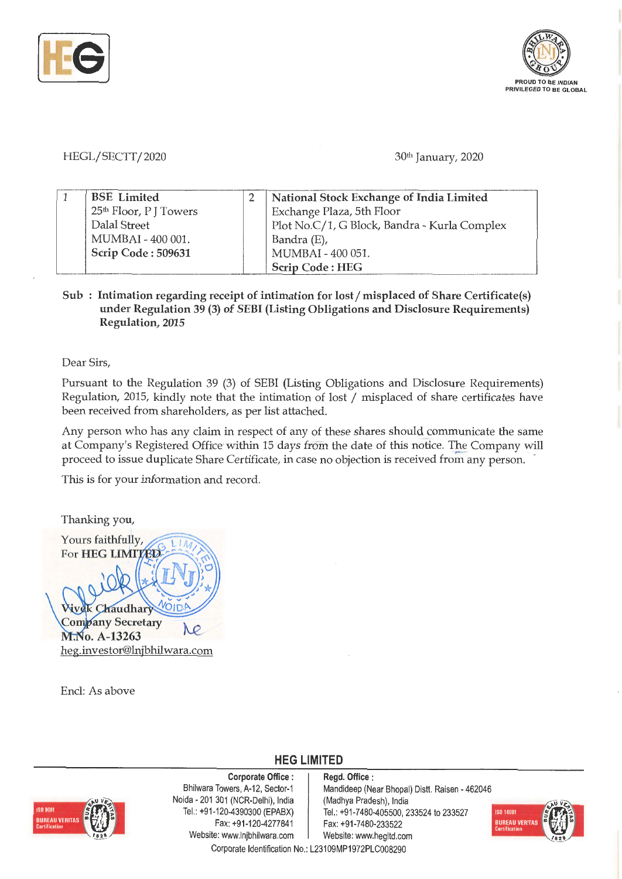



HEGL/SECTT/2020

30th January, 2020

| <b>BSE</b> Limited                 | National Stock Exchange of India Limited     |  |  |
|------------------------------------|----------------------------------------------|--|--|
| 25 <sup>th</sup> Floor, P J Towers | Exchange Plaza, 5th Floor                    |  |  |
| Dalal Street                       | Plot No.C/1, G Block, Bandra - Kurla Complex |  |  |
| MUMBAI - 400 001.                  | Bandra (E),                                  |  |  |
| Scrip Code: 509631                 | MUMBAI - 400 051.                            |  |  |
|                                    | Scrip Code: HEG                              |  |  |

**Sub** : **Intimation regarding receipt of intimation for lost/ misplaced of Share Certificate(s) under Regulation 39 (3) of SEBI (Listing Obligations and Disclosure Requirements) Regulation, 2015** 

Dear Sirs,

Pursuant to the Regulation 39 (3) of SEBI (Listing Obligations and Disclosure Requirements) Regulation, 2015, kindly note that the intimation of lost / misplaced of share certificates have been received from shareholders, as per list attached.

Any person who has any claim in respect of any of these shares should communicate the same at Company's Registered Office within 15 days from the date of this notice. The Company will proceed to issue duplicate Share Certificate, in case no objection is received from any person.

This is for your information and record.

Thanking you, Yours faithfully, For HEG LIMITED ek Chaudhary **Company Secretary**  $\mathcal{O}$ M.No. A-13263 heg.investor@lnjbhilwara.com

Encl: As above



**Corporate Office** : Bhilwara Towers, A-12, Sector-1 Naida - 201 301 (NCR-Delhi), India Tel. : +91-120-4390300 (EPABX) Fax: +91-120-4277841 Website: www.lnjbhilwara.com | Website: www.hegltd.com

**Regd. Office** : Mandideep (Near Bhopal) Dist!. Raisen - 462046 (Madhya Pradesh), India Tel.: +91 -7480-405500, 233524 to 233527 Fax: +91-7480-233522



Corporate Identification No.: L23109MP1972PLC008290

**HEG LIMITED**